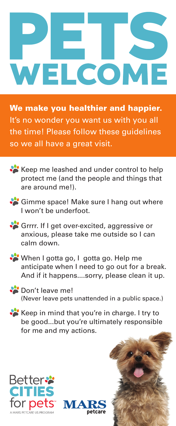## WELCOME

We make you healthier and happier. It's no wonder you want us with you all the time! Please follow these guidelines so we all have a great visit.



Gimme space! Make sure I hang out where I won't be underfoot.

Grrrr. If I get over-excited, aggressive or anxious, please take me outside so I can calm down.

When I gotta go, I gotta go. Help me anticipate when I need to go out for a break. And if it happens....sorry, please clean it up.

Don't leave me! (Never leave pets unattended in a public space.)

Keep in mind that you're in charge. I try to be good...but you're ultimately responsible for me and my actions.